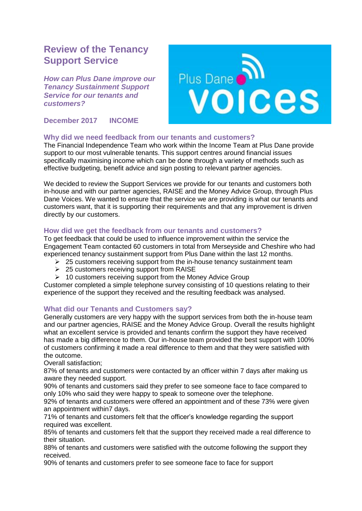# **Review of the Tenancy Support Service**

*How can Plus Dane improve our Tenancy Sustainment Support Service for our tenants and customers?*

**December 2017 INCOME**



## **Why did we need feedback from our tenants and customers?**

The Financial Independence Team who work within the Income Team at Plus Dane provide support to our most vulnerable tenants. This support centres around financial issues specifically maximising income which can be done through a variety of methods such as effective budgeting, benefit advice and sign posting to relevant partner agencies.

We decided to review the Support Services we provide for our tenants and customers both in-house and with our partner agencies, RAISE and the Money Advice Group, through Plus Dane Voices. We wanted to ensure that the service we are providing is what our tenants and customers want, that it is supporting their requirements and that any improvement is driven directly by our customers.

## **How did we get the feedback from our tenants and customers?**

To get feedback that could be used to influence improvement within the service the Engagement Team contacted 60 customers in total from Merseyside and Cheshire who had experienced tenancy sustainment support from Plus Dane within the last 12 months.

- $\geq$  25 customers receiving support from the in-house tenancy sustainment team
- → 25 customers receiving support from RAISE
- $\geq 10$  customers receiving support from the Money Advice Group

Customer completed a simple telephone survey consisting of 10 questions relating to their experience of the support they received and the resulting feedback was analysed.

## **What did our Tenants and Customers say?**

Generally customers are very happy with the support services from both the in-house team and our partner agencies, RAISE and the Money Advice Group. Overall the results highlight what an excellent service is provided and tenants confirm the support they have received has made a big difference to them. Our in-house team provided the best support with 100% of customers confirming it made a real difference to them and that they were satisfied with the outcome.

Overall satisfaction;

87% of tenants and customers were contacted by an officer within 7 days after making us aware they needed support.

90% of tenants and customers said they prefer to see someone face to face compared to only 10% who said they were happy to speak to someone over the telephone.

92% of tenants and customers were offered an appointment and of these 73% were given an appointment within7 days.

71% of tenants and customers felt that the officer's knowledge regarding the support required was excellent.

85% of tenants and customers felt that the support they received made a real difference to their situation.

88% of tenants and customers were satisfied with the outcome following the support they received.

90% of tenants and customers prefer to see someone face to face for support